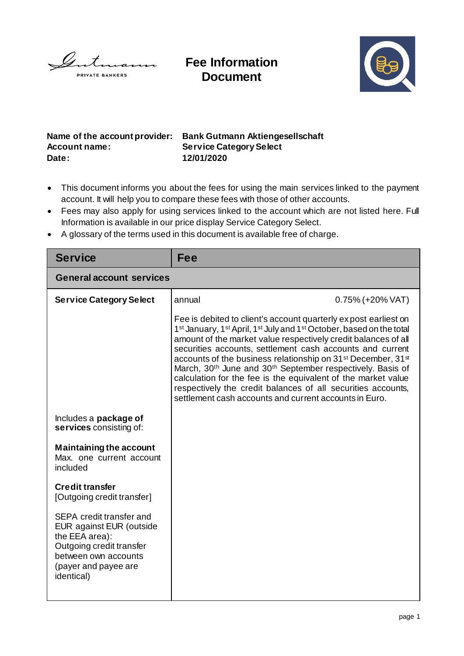

**Fee Information Document**



**Account name: Service Category Select Date: 12/01/2020**

**Name of the account provider: Bank Gutmann Aktiengesellschaft**

- This document informs you about the fees for using the main services linked to the payment account. It will help you to compare these fees with those of other accounts.
- Fees may also apply for using services linked to the account which are not listed here. Full Information is available in our price display Service Category Select.
- A glossary of the terms used in this document is available free of charge.

| <b>Service</b>                                                                                                                                                   | Fee                                                                                                                                                                                                                                                                                                                                                                                                                                                                                                                                                                                                                                                                                             |                     |  |
|------------------------------------------------------------------------------------------------------------------------------------------------------------------|-------------------------------------------------------------------------------------------------------------------------------------------------------------------------------------------------------------------------------------------------------------------------------------------------------------------------------------------------------------------------------------------------------------------------------------------------------------------------------------------------------------------------------------------------------------------------------------------------------------------------------------------------------------------------------------------------|---------------------|--|
| <b>General account services</b>                                                                                                                                  |                                                                                                                                                                                                                                                                                                                                                                                                                                                                                                                                                                                                                                                                                                 |                     |  |
| <b>Service Category Select</b>                                                                                                                                   | annual                                                                                                                                                                                                                                                                                                                                                                                                                                                                                                                                                                                                                                                                                          | $0.75\%$ (+20% VAT) |  |
|                                                                                                                                                                  | Fee is debited to client's account quarterly expost earliest on<br>1 <sup>st</sup> January, 1 <sup>st</sup> April, 1 <sup>st</sup> July and 1 <sup>st</sup> October, based on the total<br>amount of the market value respectively credit balances of all<br>securities accounts, settlement cash accounts and current<br>accounts of the business relationship on 31 <sup>st</sup> December, 31 <sup>st</sup><br>March, 30 <sup>th</sup> June and 30 <sup>th</sup> September respectively. Basis of<br>calculation for the fee is the equivalent of the market value<br>respectively the credit balances of all securities accounts,<br>settlement cash accounts and current accounts in Euro. |                     |  |
| Includes a package of<br>services consisting of:                                                                                                                 |                                                                                                                                                                                                                                                                                                                                                                                                                                                                                                                                                                                                                                                                                                 |                     |  |
| <b>Maintaining the account</b><br>Max, one current account<br>included                                                                                           |                                                                                                                                                                                                                                                                                                                                                                                                                                                                                                                                                                                                                                                                                                 |                     |  |
| <b>Credit transfer</b><br>[Outgoing credit transfer]                                                                                                             |                                                                                                                                                                                                                                                                                                                                                                                                                                                                                                                                                                                                                                                                                                 |                     |  |
| SEPA credit transfer and<br>EUR against EUR (outside<br>the EEA area):<br>Outgoing credit transfer<br>between own accounts<br>(payer and payee are<br>identical) |                                                                                                                                                                                                                                                                                                                                                                                                                                                                                                                                                                                                                                                                                                 |                     |  |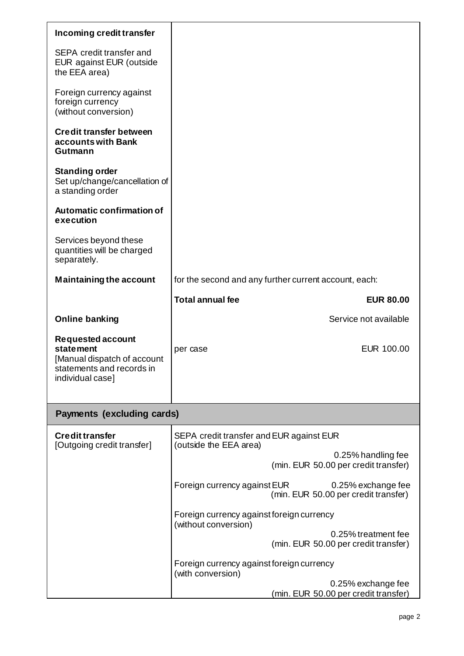| Incoming credit transfer                                                                                                     |                                                                                            |  |  |
|------------------------------------------------------------------------------------------------------------------------------|--------------------------------------------------------------------------------------------|--|--|
| SEPA credit transfer and<br>EUR against EUR (outside<br>the EEA area)                                                        |                                                                                            |  |  |
| Foreign currency against<br>foreign currency<br>(without conversion)                                                         |                                                                                            |  |  |
| <b>Credit transfer between</b><br>accounts with Bank<br>Gutmann                                                              |                                                                                            |  |  |
| <b>Standing order</b><br>Set up/change/cancellation of<br>a standing order                                                   |                                                                                            |  |  |
| Automatic confirmation of<br>execution                                                                                       |                                                                                            |  |  |
| Services beyond these<br>quantities will be charged<br>separately.                                                           |                                                                                            |  |  |
| <b>Maintaining the account</b>                                                                                               | for the second and any further current account, each:                                      |  |  |
|                                                                                                                              | <b>Total annual fee</b><br><b>EUR 80.00</b>                                                |  |  |
| <b>Online banking</b>                                                                                                        | Service not available                                                                      |  |  |
| <b>Requested account</b><br><b>statement</b><br>[Manual dispatch of account<br>statements and records in<br>individual case] | EUR 100.00<br>per case                                                                     |  |  |
| <b>Payments (excluding cards)</b>                                                                                            |                                                                                            |  |  |
| <b>Credit transfer</b><br>[Outgoing credit transfer]                                                                         | SEPA credit transfer and EUR against EUR<br>(outside the EEA area)                         |  |  |
|                                                                                                                              | 0.25% handling fee<br>(min. EUR 50.00 per credit transfer)                                 |  |  |
|                                                                                                                              | Foreign currency against EUR<br>0.25% exchange fee<br>(min. EUR 50.00 per credit transfer) |  |  |
|                                                                                                                              | Foreign currency against foreign currency<br>(without conversion)                          |  |  |
|                                                                                                                              | 0.25% treatment fee<br>(min. EUR 50.00 per credit transfer)                                |  |  |
|                                                                                                                              | Foreign currency against foreign currency<br>(with conversion)                             |  |  |
|                                                                                                                              | 0.25% exchange fee<br>(min. EUR 50.00 per credit transfer)                                 |  |  |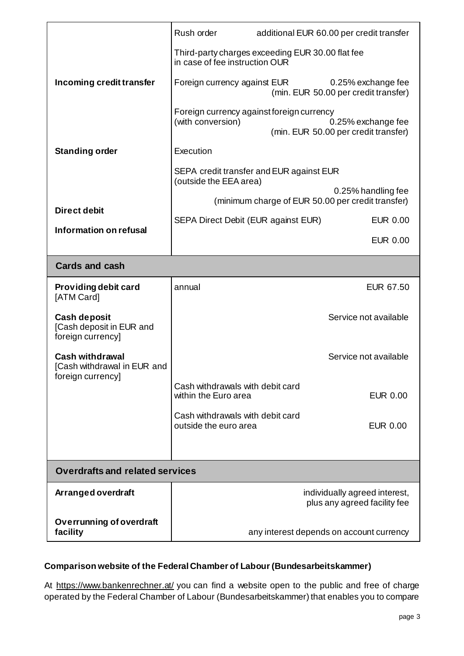|                                                                      | Rush order                                                                         | additional EUR 60.00 per credit transfer                                                                |  |  |
|----------------------------------------------------------------------|------------------------------------------------------------------------------------|---------------------------------------------------------------------------------------------------------|--|--|
|                                                                      | Third-party charges exceeding EUR 30.00 flat fee<br>in case of fee instruction OUR |                                                                                                         |  |  |
| Incoming credit transfer                                             | Foreign currency against EUR                                                       | 0.25% exchange fee<br>(min. EUR 50.00 per credit transfer)                                              |  |  |
|                                                                      | (with conversion)                                                                  | Foreign currency against foreign currency<br>0.25% exchange fee<br>(min. EUR 50.00 per credit transfer) |  |  |
| <b>Standing order</b>                                                | Execution                                                                          |                                                                                                         |  |  |
|                                                                      | (outside the EEA area)                                                             | SEPA credit transfer and EUR against EUR                                                                |  |  |
|                                                                      | 0.25% handling fee<br>(minimum charge of EUR 50.00 per credit transfer)            |                                                                                                         |  |  |
| <b>Direct debit</b>                                                  | SEPA Direct Debit (EUR against EUR)                                                | <b>EUR 0.00</b>                                                                                         |  |  |
| Information on refusal                                               |                                                                                    | <b>EUR 0.00</b>                                                                                         |  |  |
| <b>Cards and cash</b>                                                |                                                                                    |                                                                                                         |  |  |
| Providing debit card<br>[ATM Card]                                   | annual                                                                             | EUR 67.50                                                                                               |  |  |
| <b>Cash deposit</b><br>[Cash deposit in EUR and<br>foreign currency] |                                                                                    | Service not available                                                                                   |  |  |
| <b>Cash withdrawal</b><br>[Cash withdrawal in EUR and                |                                                                                    | Service not available                                                                                   |  |  |
| foreign currency]                                                    | Cash withdrawals with debit card<br>within the Euro area                           | <b>EUR 0.00</b>                                                                                         |  |  |
|                                                                      | Cash withdrawals with debit card<br>outside the euro area                          | <b>EUR 0.00</b>                                                                                         |  |  |
|                                                                      |                                                                                    |                                                                                                         |  |  |
| <b>Overdrafts and related services</b>                               |                                                                                    |                                                                                                         |  |  |
| Arranged overdraft                                                   |                                                                                    | individually agreed interest,<br>plus any agreed facility fee                                           |  |  |
| <b>Overrunning of overdraft</b><br>facility                          |                                                                                    | any interest depends on account currency                                                                |  |  |

## **Comparison website of the Federal Chamber of Labour (Bundesarbeitskammer)**

At<https://www.bankenrechner.at/> you can find a website open to the public and free of charge operated by the Federal Chamber of Labour (Bundesarbeitskammer) that enables you to compare